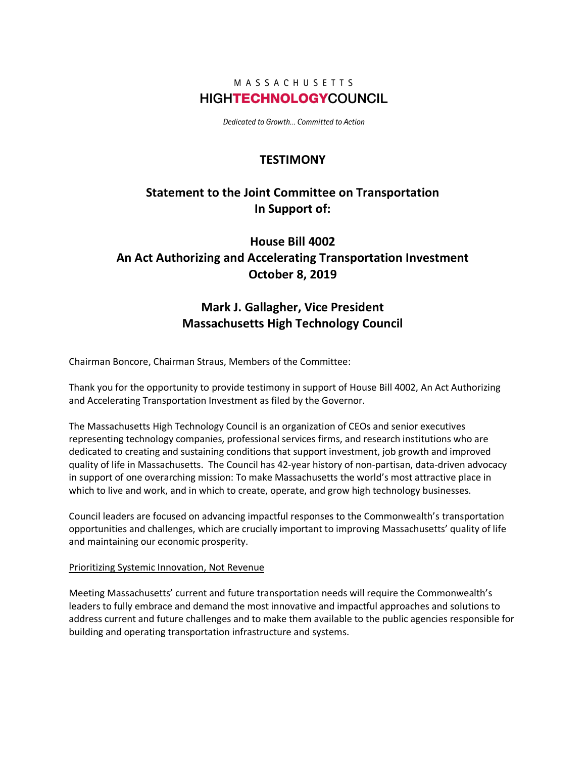### MASSACHUSETTS **HIGHTECHNOLOGYCOUNCIL**

Dedicated to Growth... Committed to Action

### **TESTIMONY**

## **Statement to the Joint Committee on Transportation In Support of:**

# **House Bill 4002 An Act Authorizing and Accelerating Transportation Investment October 8, 2019**

### **Mark J. Gallagher, Vice President Massachusetts High Technology Council**

Chairman Boncore, Chairman Straus, Members of the Committee:

Thank you for the opportunity to provide testimony in support of House Bill 4002, An Act Authorizing and Accelerating Transportation Investment as filed by the Governor.

The Massachusetts High Technology Council is an organization of CEOs and senior executives representing technology companies, professional services firms, and research institutions who are dedicated to creating and sustaining conditions that support investment, job growth and improved quality of life in Massachusetts. The Council has 42-year history of non-partisan, data-driven advocacy in support of one overarching mission: To make Massachusetts the world's most attractive place in which to live and work, and in which to create, operate, and grow high technology businesses.

Council leaders are focused on advancing impactful responses to the Commonwealth's transportation opportunities and challenges, which are crucially important to improving Massachusetts' quality of life and maintaining our economic prosperity.

#### Prioritizing Systemic Innovation, Not Revenue

Meeting Massachusetts' current and future transportation needs will require the Commonwealth's leaders to fully embrace and demand the most innovative and impactful approaches and solutions to address current and future challenges and to make them available to the public agencies responsible for building and operating transportation infrastructure and systems.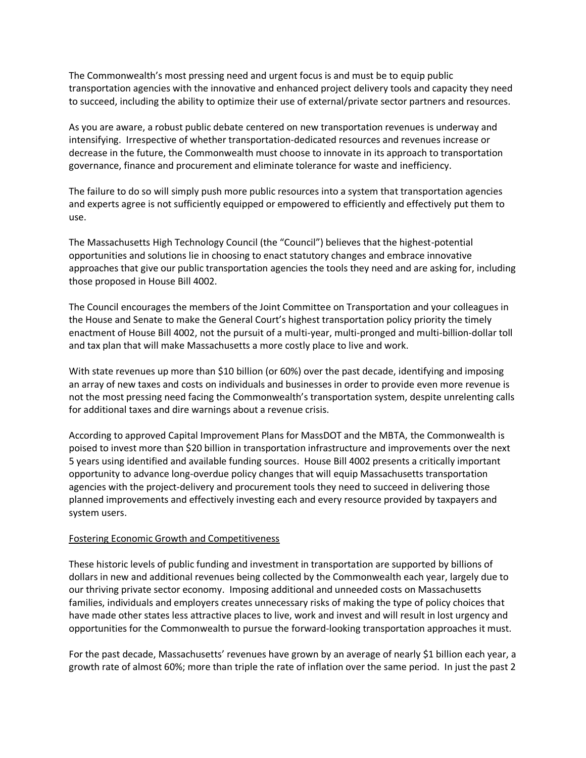The Commonwealth's most pressing need and urgent focus is and must be to equip public transportation agencies with the innovative and enhanced project delivery tools and capacity they need to succeed, including the ability to optimize their use of external/private sector partners and resources.

As you are aware, a robust public debate centered on new transportation revenues is underway and intensifying. Irrespective of whether transportation-dedicated resources and revenues increase or decrease in the future, the Commonwealth must choose to innovate in its approach to transportation governance, finance and procurement and eliminate tolerance for waste and inefficiency.

The failure to do so will simply push more public resources into a system that transportation agencies and experts agree is not sufficiently equipped or empowered to efficiently and effectively put them to use.

The Massachusetts High Technology Council (the "Council") believes that the highest-potential opportunities and solutions lie in choosing to enact statutory changes and embrace innovative approaches that give our public transportation agencies the tools they need and are asking for, including those proposed in House Bill 4002.

The Council encourages the members of the Joint Committee on Transportation and your colleagues in the House and Senate to make the General Court's highest transportation policy priority the timely enactment of House Bill 4002, not the pursuit of a multi-year, multi-pronged and multi-billion-dollar toll and tax plan that will make Massachusetts a more costly place to live and work.

With state revenues up more than \$10 billion (or 60%) over the past decade, identifying and imposing an array of new taxes and costs on individuals and businesses in order to provide even more revenue is not the most pressing need facing the Commonwealth's transportation system, despite unrelenting calls for additional taxes and dire warnings about a revenue crisis.

According to approved Capital Improvement Plans for MassDOT and the MBTA, the Commonwealth is poised to invest more than \$20 billion in transportation infrastructure and improvements over the next 5 years using identified and available funding sources. House Bill 4002 presents a critically important opportunity to advance long-overdue policy changes that will equip Massachusetts transportation agencies with the project-delivery and procurement tools they need to succeed in delivering those planned improvements and effectively investing each and every resource provided by taxpayers and system users.

#### Fostering Economic Growth and Competitiveness

These historic levels of public funding and investment in transportation are supported by billions of dollars in new and additional revenues being collected by the Commonwealth each year, largely due to our thriving private sector economy. Imposing additional and unneeded costs on Massachusetts families, individuals and employers creates unnecessary risks of making the type of policy choices that have made other states less attractive places to live, work and invest and will result in lost urgency and opportunities for the Commonwealth to pursue the forward-looking transportation approaches it must.

For the past decade, Massachusetts' revenues have grown by an average of nearly \$1 billion each year, a growth rate of almost 60%; more than triple the rate of inflation over the same period. In just the past 2